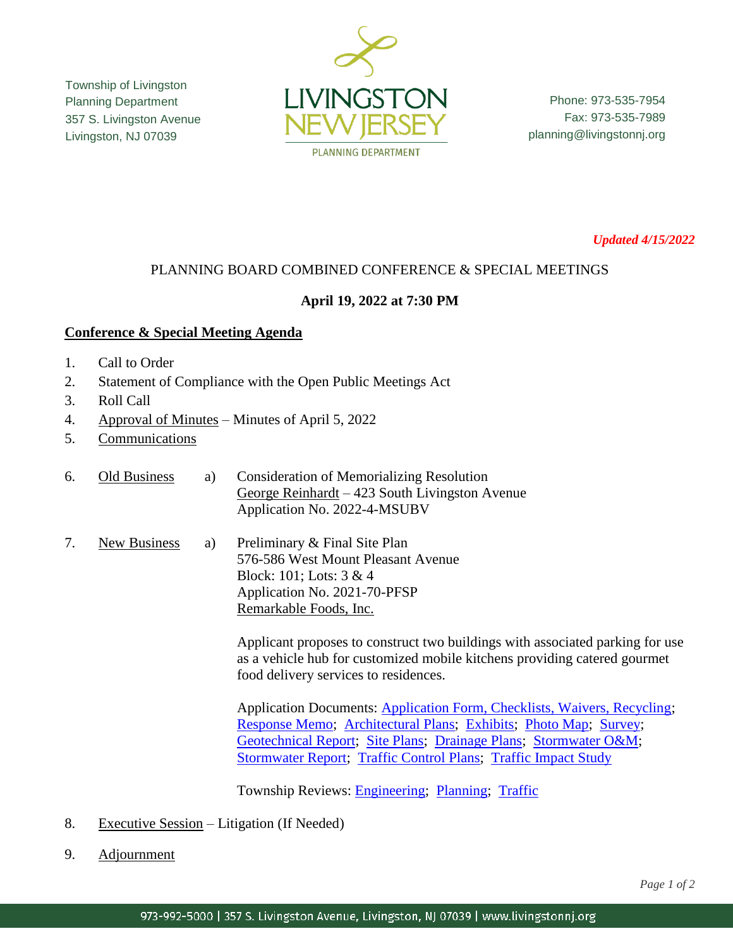Township of Livingston Planning Department 357 S. Livingston Avenue Livingston, NJ 07039



Phone: 973-535-7954 Fax: 973-535-7989 planning@livingstonnj.org

*Updated 4/15/2022*

## PLANNING BOARD COMBINED CONFERENCE & SPECIAL MEETINGS

## **April 19, 2022 at 7:30 PM**

## **Conference & Special Meeting Agenda**

- 1. Call to Order
- 2. Statement of Compliance with the Open Public Meetings Act
- 3. Roll Call
- 4. Approval of Minutes Minutes of April 5, 2022
- 5. Communications
- 6. Old Business a) Consideration of Memorializing Resolution George Reinhardt – 423 South Livingston Avenue Application No. 2022-4-MSUBV
- 7. New Business a) Preliminary & Final Site Plan 576-586 West Mount Pleasant Avenue Block: 101; Lots: 3 & 4 Application No. 2021-70-PFSP Remarkable Foods, Inc.

Applicant proposes to construct two buildings with associated parking for use as a vehicle hub for customized mobile kitchens providing catered gourmet food delivery services to residences.

Application Documents: [Application Form, Checklists, Waivers, Recycling;](http://livingstonnj.org/DocumentCenter/View/13166/Remarkable-Foods---Remarkable-Foods---Application-Docs) [Response Memo;](http://livingstonnj.org/DocumentCenter/View/13164/Remarkable-Foods---Bohler-Response-Memo-01-21-2022) [Architectural Plans;](http://livingstonnj.org/DocumentCenter/View/13163/Remarkable-Foods---Architectural-Plans) [Exhibits;](http://livingstonnj.org/DocumentCenter/View/13168/Remarkable-Foods---Exhibits-by-Mancini) [Photo Map;](http://livingstonnj.org/DocumentCenter/View/13171/Remarkable-Foods---Photo-Map) [Survey;](http://livingstonnj.org/DocumentCenter/View/13176/Remarkable-Foods---Survey-11-10-2021) [Geotechnical Report;](http://livingstonnj.org/DocumentCenter/View/13169/Remarkable-Foods---Geotechnical-Report_2021-11-23) [Site Plans;](http://livingstonnj.org/DocumentCenter/View/13175/Remarkable-Foods---Site-Plan-01-20-2022) [Drainage Plans;](http://livingstonnj.org/DocumentCenter/View/13165/Remarkable-Foods---Drainage-Plans) [Stormwater O&M;](http://livingstonnj.org/DocumentCenter/View/13170/Remarkable-Foods---Ops-and-Maintenance-Manual---20211108) [Stormwater Report;](http://livingstonnj.org/DocumentCenter/View/13172/Remarkable-Foods---Stormwater-Management-Report) [Traffic Control Plans;](http://livingstonnj.org/DocumentCenter/View/13173/Remarkable-Foods---Traffic-Control-Plans) [Traffic Impact Study](http://livingstonnj.org/DocumentCenter/View/13174/Remarkable-Foods---Traffic-Impact-Study-2021-11-16)

Township Reviews: [Engineering;](http://livingstonnj.org/DocumentCenter/View/13177/Remarkable-Foods---Engineering-Review) [Planning;](http://livingstonnj.org/DocumentCenter/View/13178/Remarkable-Foods---Planning-Review-Memos) [Traffic](http://livingstonnj.org/DocumentCenter/View/13739/Remarkable-Foods---Traffic-Review-1-26-22)

- 8. Executive Session Litigation (If Needed)
- 9. Adjournment